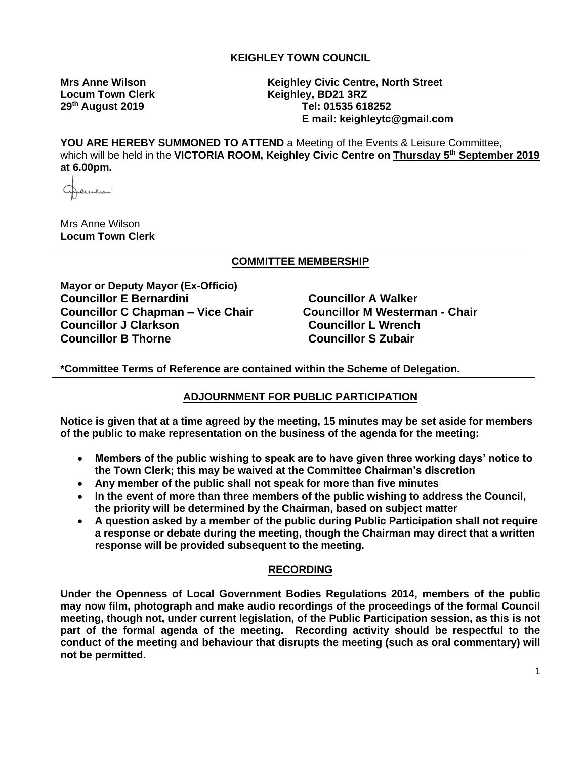## **KEIGHLEY TOWN COUNCIL**

Locum Town Clerk **Keighley, BD21 3RZ** 

**Mrs Anne Wilson Keighley Civic Centre, North Street 29th August 2019 Tel: 01535 618252 E mail: keighleytc@gmail.com**

**YOU ARE HEREBY SUMMONED TO ATTEND** a Meeting of the Events & Leisure Committee, which will be held in the **VICTORIA ROOM, Keighley Civic Centre on Thursday 5th September 2019 at 6.00pm.**

evilian

Mrs Anne Wilson **Locum Town Clerk**

### **COMMITTEE MEMBERSHIP**

**Mayor or Deputy Mayor (Ex-Officio) Councillor E Bernardini** Councillor A Walker **Councillor C Chapman – Vice Chair Councillor M Westerman - Chair Councillor J Clarkson Councillor L Wrench Councillor B Thorne Councillor S Zubair**

**\*Committee Terms of Reference are contained within the Scheme of Delegation.**

### **ADJOURNMENT FOR PUBLIC PARTICIPATION**

**Notice is given that at a time agreed by the meeting, 15 minutes may be set aside for members of the public to make representation on the business of the agenda for the meeting:**

- **Members of the public wishing to speak are to have given three working days' notice to the Town Clerk; this may be waived at the Committee Chairman's discretion**
- **Any member of the public shall not speak for more than five minutes**
- **In the event of more than three members of the public wishing to address the Council, the priority will be determined by the Chairman, based on subject matter**
- **A question asked by a member of the public during Public Participation shall not require a response or debate during the meeting, though the Chairman may direct that a written response will be provided subsequent to the meeting.**

### **RECORDING**

**Under the Openness of Local Government Bodies Regulations 2014, members of the public may now film, photograph and make audio recordings of the proceedings of the formal Council meeting, though not, under current legislation, of the Public Participation session, as this is not part of the formal agenda of the meeting. Recording activity should be respectful to the conduct of the meeting and behaviour that disrupts the meeting (such as oral commentary) will not be permitted.**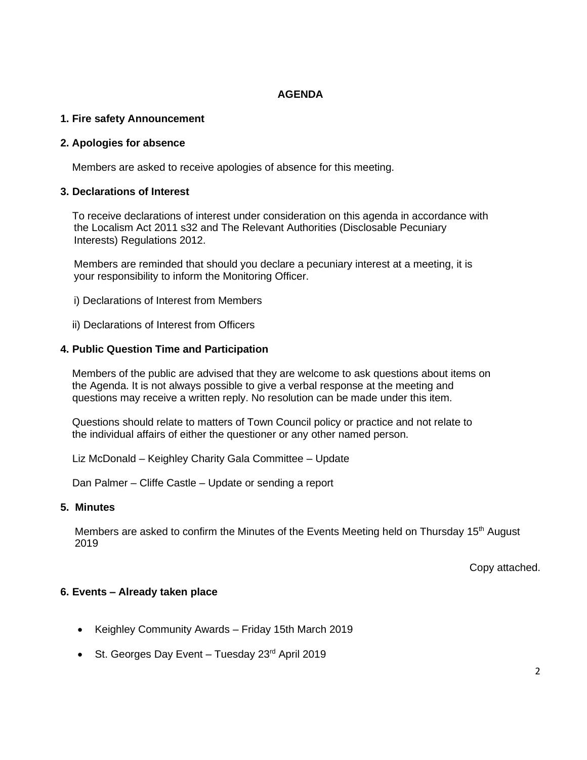## **AGENDA**

## **1. Fire safety Announcement**

## **2. Apologies for absence**

Members are asked to receive apologies of absence for this meeting.

## **3. Declarations of Interest**

 To receive declarations of interest under consideration on this agenda in accordance with the Localism Act 2011 s32 and The Relevant Authorities (Disclosable Pecuniary Interests) Regulations 2012.

Members are reminded that should you declare a pecuniary interest at a meeting, it is your responsibility to inform the Monitoring Officer.

- i) Declarations of Interest from Members
- ii) Declarations of Interest from Officers

## **4. Public Question Time and Participation**

 Members of the public are advised that they are welcome to ask questions about items on the Agenda. It is not always possible to give a verbal response at the meeting and questions may receive a written reply. No resolution can be made under this item.

 Questions should relate to matters of Town Council policy or practice and not relate to the individual affairs of either the questioner or any other named person.

Liz McDonald – Keighley Charity Gala Committee – Update

Dan Palmer – Cliffe Castle – Update or sending a report

## **5. Minutes**

Members are asked to confirm the Minutes of the Events Meeting held on Thursday  $15<sup>th</sup>$  August 2019

Copy attached.

# **6. Events – Already taken place**

- Keighley Community Awards Friday 15th March 2019
- St. Georges Day Event Tuesday 23rd April 2019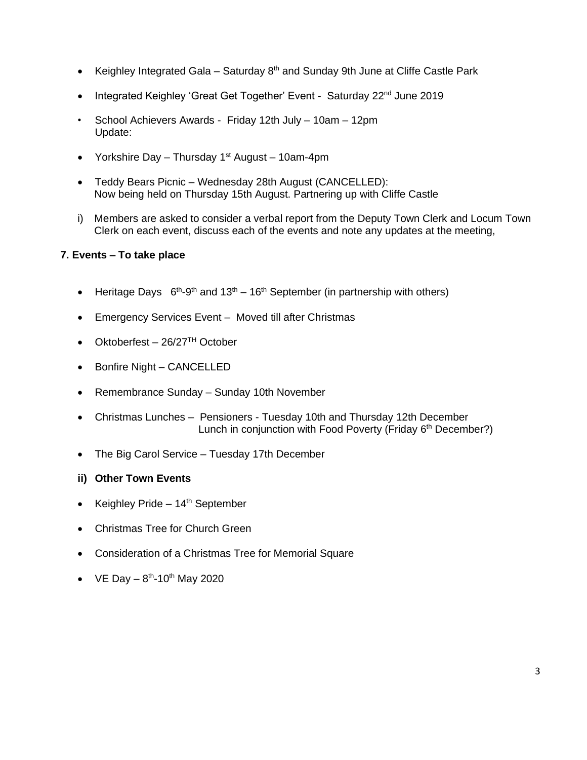- Keighley Integrated Gala Saturday  $8<sup>th</sup>$  and Sunday 9th June at Cliffe Castle Park
- Integrated Keighley 'Great Get Together' Event Saturday 22<sup>nd</sup> June 2019
- School Achievers Awards Friday 12th July 10am 12pm Update:
- Yorkshire Day Thursday  $1<sup>st</sup>$  August 10am-4pm
- Teddy Bears Picnic Wednesday 28th August (CANCELLED): Now being held on Thursday 15th August. Partnering up with Cliffe Castle
- i) Members are asked to consider a verbal report from the Deputy Town Clerk and Locum Town Clerk on each event, discuss each of the events and note any updates at the meeting,

### **7. Events – To take place**

- Heritage Days  $6^{th} 9^{th}$  and  $13^{th} 16^{th}$  September (in partnership with others)
- Emergency Services Event Moved till after Christmas
- Oktoberfest 26/27TH October
- Bonfire Night CANCELLED
- Remembrance Sunday Sunday 10th November
- Christmas Lunches Pensioners Tuesday 10th and Thursday 12th December Lunch in conjunction with Food Poverty (Friday 6<sup>th</sup> December?)
- The Big Carol Service Tuesday 17th December
- **ii) Other Town Events**
- Keighley Pride  $-14<sup>th</sup>$  September
- Christmas Tree for Church Green
- Consideration of a Christmas Tree for Memorial Square
- VE Day  $-8^{th}$ -10<sup>th</sup> May 2020